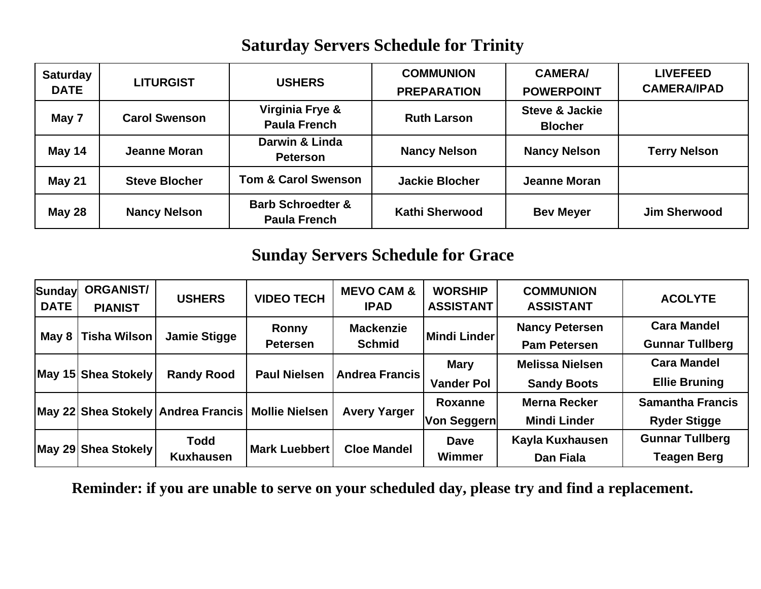## **Saturday Servers Schedule for Trinity**

| <b>Saturday</b><br><b>DATE</b> | <b>LITURGIST</b>     | <b>USHERS</b>                                       | <b>COMMUNION</b><br><b>PREPARATION</b> | <b>CAMERA/</b><br><b>POWERPOINT</b>         | <b>LIVEFEED</b><br><b>CAMERA/IPAD</b> |
|--------------------------------|----------------------|-----------------------------------------------------|----------------------------------------|---------------------------------------------|---------------------------------------|
| May 7                          | <b>Carol Swenson</b> | Virginia Frye &<br><b>Paula French</b>              | <b>Ruth Larson</b>                     | <b>Steve &amp; Jackie</b><br><b>Blocher</b> |                                       |
| May 14                         | Jeanne Moran         | Darwin & Linda<br><b>Peterson</b>                   | <b>Nancy Nelson</b>                    | <b>Nancy Nelson</b>                         | <b>Terry Nelson</b>                   |
| <b>May 21</b>                  | <b>Steve Blocher</b> | <b>Tom &amp; Carol Swenson</b>                      | <b>Jackie Blocher</b>                  | <b>Jeanne Moran</b>                         |                                       |
| <b>May 28</b>                  | <b>Nancy Nelson</b>  | <b>Barb Schroedter &amp;</b><br><b>Paula French</b> | <b>Kathi Sherwood</b>                  | <b>Bev Meyer</b>                            | <b>Jim Sherwood</b>                   |

#### **Sunday Servers Schedule for Grace**

| Sundayl<br><b>DATE</b> | <b>ORGANIST/</b><br><b>PIANIST</b> | <b>USHERS</b>                                       | <b>VIDEO TECH</b>        | <b>MEVO CAM &amp;</b><br><b>IPAD</b> | <b>WORSHIP</b><br><b>ASSISTANT</b> | <b>COMMUNION</b><br><b>ASSISTANT</b>         | <b>ACOLYTE</b>                                 |
|------------------------|------------------------------------|-----------------------------------------------------|--------------------------|--------------------------------------|------------------------------------|----------------------------------------------|------------------------------------------------|
| May $8$                | Tisha Wilson                       | <b>Jamie Stigge</b>                                 | Ronny<br><b>Petersen</b> | <b>Mackenzie</b><br><b>Schmid</b>    | Mindi Linder                       | <b>Nancy Petersen</b><br><b>Pam Petersen</b> | <b>Cara Mandel</b><br><b>Gunnar Tullberg</b>   |
|                        | May 15 Shea Stokely                | <b>Randy Rood</b>                                   | <b>Paul Nielsen</b>      | <b>Andrea Francis</b>                | <b>Mary</b><br><b>Vander Pol</b>   | <b>Melissa Nielsen</b><br><b>Sandy Boots</b> | <b>Cara Mandel</b><br><b>Ellie Bruning</b>     |
|                        |                                    | May 22 Shea Stokely Andrea Francis   Mollie Nielsen |                          | <b>Avery Yarger</b>                  | <b>Roxanne</b><br>Von Seggern      | <b>Merna Recker</b><br><b>Mindi Linder</b>   | <b>Samantha Francis</b><br><b>Ryder Stigge</b> |
|                        | May 29 Shea Stokely                | <b>Todd</b><br><b>Kuxhausen</b>                     | <b>Mark Luebbert</b>     | <b>Cloe Mandel</b>                   | <b>Dave</b><br>Wimmer              | Kayla Kuxhausen<br>Dan Fiala                 | <b>Gunnar Tullberg</b><br><b>Teagen Berg</b>   |

**Reminder: if you are unable to serve on your scheduled day, please try and find a replacement.**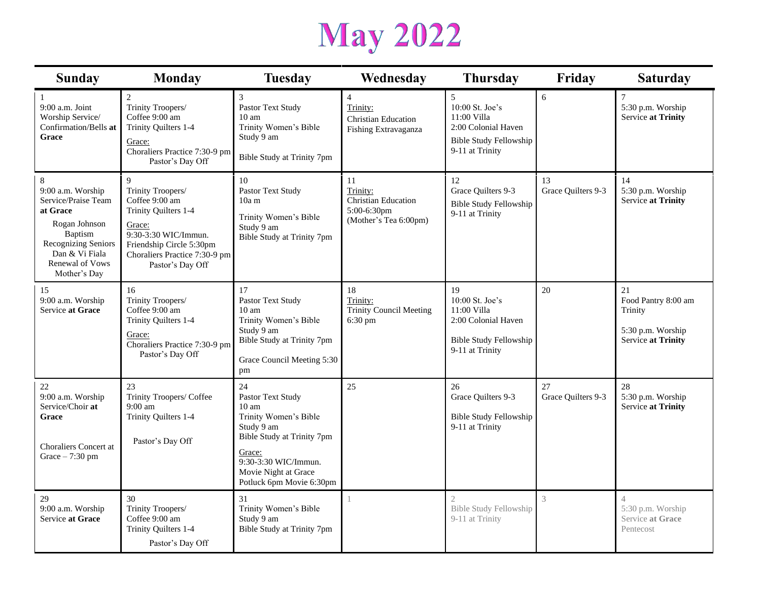# **May 2022**

| <b>Sunday</b>                                                                                                                                                            | <b>Monday</b>                                                                                                                                                                                 |                                                                                                                                                                                                       | Wednesday                                                                            | <b>Thursday</b>                                                                                                 | Friday                   | <b>Saturday</b>                                                                 |
|--------------------------------------------------------------------------------------------------------------------------------------------------------------------------|-----------------------------------------------------------------------------------------------------------------------------------------------------------------------------------------------|-------------------------------------------------------------------------------------------------------------------------------------------------------------------------------------------------------|--------------------------------------------------------------------------------------|-----------------------------------------------------------------------------------------------------------------|--------------------------|---------------------------------------------------------------------------------|
| $\mathbf{1}$<br>9:00 a.m. Joint<br>Worship Service/<br>Confirmation/Bells at<br>Grace                                                                                    | $\overline{c}$<br>Trinity Troopers/<br>Coffee 9:00 am<br>Trinity Quilters 1-4<br>Grace:<br>Choraliers Practice 7:30-9 pm<br>Pastor's Day Off                                                  | 3<br>Pastor Text Study<br>10 <sub>am</sub><br>Trinity Women's Bible<br>Study 9 am<br>Bible Study at Trinity 7pm                                                                                       | $\overline{4}$<br>Trinity:<br><b>Christian Education</b><br>Fishing Extravaganza     | 5<br>10:00 St. Joe's<br>11:00 Villa<br>2:00 Colonial Haven<br><b>Bible Study Fellowship</b><br>9-11 at Trinity  | 6                        | $\overline{7}$<br>5:30 p.m. Worship<br>Service at Trinity                       |
| 8<br>9:00 a.m. Worship<br>Service/Praise Team<br>at Grace<br>Rogan Johnson<br>Baptism<br>Recognizing Seniors<br>Dan & Vi Fiala<br><b>Renewal of Vows</b><br>Mother's Day | $\mathbf Q$<br>Trinity Troopers/<br>Coffee 9:00 am<br>Trinity Quilters 1-4<br>Grace:<br>9:30-3:30 WIC/Immun.<br>Friendship Circle 5:30pm<br>Choraliers Practice 7:30-9 pm<br>Pastor's Day Off | 10<br>Pastor Text Study<br>$10a$ m<br>Trinity Women's Bible<br>Study 9 am<br>Bible Study at Trinity 7pm                                                                                               | 11<br>Trinity:<br><b>Christian Education</b><br>5:00-6:30pm<br>(Mother's Tea 6:00pm) | 12<br>Grace Quilters 9-3<br><b>Bible Study Fellowship</b><br>9-11 at Trinity                                    | 13<br>Grace Quilters 9-3 | 14<br>5:30 p.m. Worship<br>Service at Trinity                                   |
| 15<br>9:00 a.m. Worship<br>Service at Grace                                                                                                                              | 16<br>Trinity Troopers/<br>Coffee 9:00 am<br>Trinity Quilters 1-4<br>Grace:<br>Choraliers Practice 7:30-9 pm<br>Pastor's Day Off                                                              | 17<br>Pastor Text Study<br>10 <sub>am</sub><br>Trinity Women's Bible<br>Study 9 am<br>Bible Study at Trinity 7pm<br>Grace Council Meeting 5:30<br>pm                                                  | 18<br>Trinity:<br><b>Trinity Council Meeting</b><br>6:30 pm                          | 19<br>10:00 St. Joe's<br>11:00 Villa<br>2:00 Colonial Haven<br><b>Bible Study Fellowship</b><br>9-11 at Trinity | 20                       | 21<br>Food Pantry 8:00 am<br>Trinity<br>5:30 p.m. Worship<br>Service at Trinity |
| $22\,$<br>9:00 a.m. Worship<br>Service/Choir at<br>Grace<br>Choraliers Concert at<br>Grace $-7:30$ pm                                                                    | 23<br>Trinity Troopers/ Coffee<br>$9:00 \text{ am}$<br>Trinity Quilters 1-4<br>Pastor's Day Off                                                                                               | 24<br>Pastor Text Study<br>$10 \text{ am}$<br>Trinity Women's Bible<br>Study 9 am<br>Bible Study at Trinity 7pm<br>Grace:<br>9:30-3:30 WIC/Immun.<br>Movie Night at Grace<br>Potluck 6pm Movie 6:30pm | 25                                                                                   | 26<br>Grace Quilters 9-3<br><b>Bible Study Fellowship</b><br>9-11 at Trinity                                    | 27<br>Grace Quilters 9-3 | 28<br>5:30 p.m. Worship<br>Service at Trinity                                   |
| 29<br>9:00 a.m. Worship<br>Service at Grace                                                                                                                              | 30<br>Trinity Troopers/<br>Coffee 9:00 am<br>Trinity Quilters 1-4<br>Pastor's Day Off                                                                                                         | 31<br>Trinity Women's Bible<br>Study 9 am<br>Bible Study at Trinity 7pm                                                                                                                               |                                                                                      | <b>Bible Study Fellowship</b><br>9-11 at Trinity                                                                | 3                        | $\overline{4}$<br>5:30 p.m. Worship<br>Service at Grace<br>Pentecost            |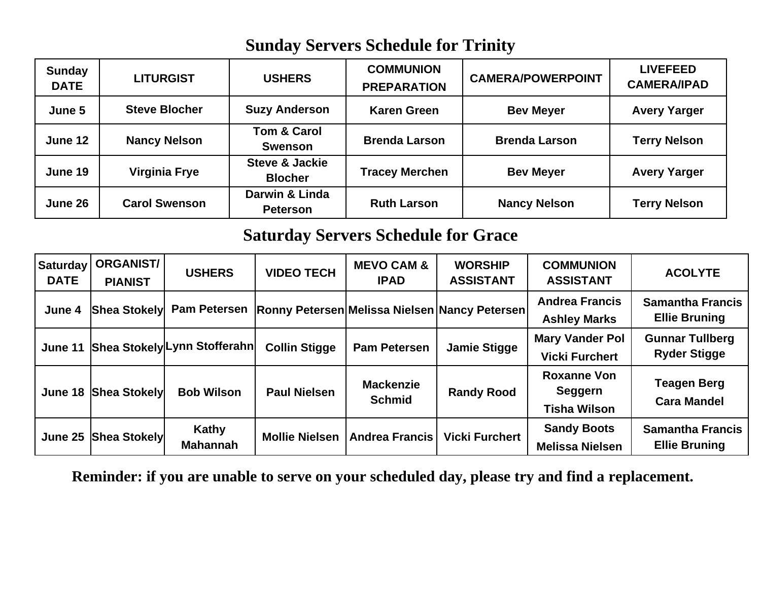### **Sunday Servers Schedule for Trinity**

| <b>Sunday</b><br><b>DATE</b> | <b>LITURGIST</b>     | <b>USHERS</b>                               | <b>COMMUNION</b><br><b>PREPARATION</b> | <b>CAMERA/POWERPOINT</b> | <b>LIVEFEED</b><br><b>CAMERA/IPAD</b> |
|------------------------------|----------------------|---------------------------------------------|----------------------------------------|--------------------------|---------------------------------------|
| June 5                       | <b>Steve Blocher</b> | <b>Suzy Anderson</b>                        | <b>Karen Green</b>                     | <b>Bev Meyer</b>         | <b>Avery Yarger</b>                   |
| June 12                      | <b>Nancy Nelson</b>  | <b>Tom &amp; Carol</b><br><b>Swenson</b>    | <b>Brenda Larson</b>                   | <b>Brenda Larson</b>     | <b>Terry Nelson</b>                   |
| June 19                      | Virginia Frye        | <b>Steve &amp; Jackie</b><br><b>Blocher</b> | <b>Tracey Merchen</b>                  | <b>Bev Meyer</b>         | <b>Avery Yarger</b>                   |
| June 26                      | <b>Carol Swenson</b> | Darwin & Linda<br><b>Peterson</b>           | <b>Ruth Larson</b>                     | <b>Nancy Nelson</b>      | <b>Terry Nelson</b>                   |

#### **Saturday Servers Schedule for Grace**

| <b>Saturday</b><br><b>DATE</b> | <b>ORGANIST/</b><br><b>PIANIST</b> | <b>USHERS</b>                | <b>VIDEO TECH</b>     | <b>MEVO CAM &amp;</b><br><b>IPAD</b> | <b>WORSHIP</b><br><b>ASSISTANT</b>                   | <b>COMMUNION</b><br><b>ASSISTANT</b>                 | <b>ACOLYTE</b>                                  |
|--------------------------------|------------------------------------|------------------------------|-----------------------|--------------------------------------|------------------------------------------------------|------------------------------------------------------|-------------------------------------------------|
| June 4                         | <b>Shea Stokely</b>                | <b>Pam Petersen</b>          |                       |                                      | <b>Ronny Petersen Melissa Nielsen Nancy Petersen</b> | <b>Andrea Francis</b><br><b>Ashley Marks</b>         | <b>Samantha Francis</b><br><b>Ellie Bruning</b> |
| June 11                        |                                    | Shea Stokely Lynn Stofferahn | <b>Collin Stigge</b>  | <b>Pam Petersen</b>                  | <b>Jamie Stigge</b>                                  | <b>Mary Vander Pol</b><br><b>Vicki Furchert</b>      | <b>Gunnar Tullberg</b><br><b>Ryder Stigge</b>   |
| June 18                        | <b>Shea Stokely</b>                | <b>Bob Wilson</b>            | <b>Paul Nielsen</b>   | <b>Mackenzie</b><br><b>Schmid</b>    | <b>Randy Rood</b>                                    | <b>Roxanne Von</b><br>Seggern<br><b>Tisha Wilson</b> | <b>Teagen Berg</b><br><b>Cara Mandel</b>        |
| June 25                        | <b>Shea Stokely</b>                | Kathy<br><b>Mahannah</b>     | <b>Mollie Nielsen</b> | <b>Andrea Francis</b>                | <b>Vicki Furchert</b>                                | <b>Sandy Boots</b><br><b>Melissa Nielsen</b>         | <b>Samantha Francis</b><br><b>Ellie Bruning</b> |

**Reminder: if you are unable to serve on your scheduled day, please try and find a replacement.**